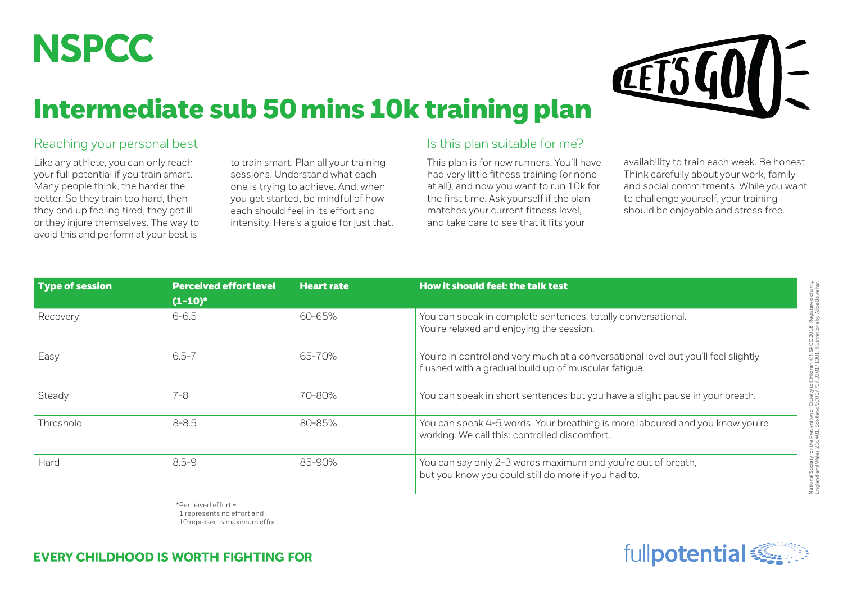## **NSPCC**

# **LETS**

### Intermediate sub 50 mins 10k training plan

#### Reaching your personal best

Like any athlete, you can only reach your full potential if you train smart. Many people think, the harder the better. So they train too hard, then they end up feeling tired, they get ill or they injure themselves. The way to avoid this and perform at your best is

to train smart. Plan all your training sessions. Understand what each one is trying to achieve. And, when you get started, be mindful of how each should feel in its effort and intensity. Here's a guide for just that.

#### Is this plan suitable for me?

This plan is for new runners. You'll have had very little fitness training (or none at all), and now you want to run 10k for the first time. Ask yourself if the plan matches your current fitness level, and take care to see that it fits your

availability to train each week. Be honest. Think carefully about your work, family and social commitments. While you want to challenge yourself, your training should be enjoyable and stress free.

| Type of session | <b>Perceived effort level</b> | <b>Heart rate</b> | How it should feel: the talk test                                                                                                          |  |  |  |  |
|-----------------|-------------------------------|-------------------|--------------------------------------------------------------------------------------------------------------------------------------------|--|--|--|--|
|                 | $(1-10)^*$                    |                   |                                                                                                                                            |  |  |  |  |
| Recovery        | $6 - 6.5$                     | 60-65%            | You can speak in complete sentences, totally conversational.<br>You're relaxed and enjoying the session.                                   |  |  |  |  |
| Easy            | $6.5 - 7$                     | 65-70%            | You're in control and very much at a conversational level but you'll feel slightly<br>flushed with a gradual build up of muscular fatigue. |  |  |  |  |
| Steady          | $7 - 8$                       | 70-80%            | You can speak in short sentences but you have a slight pause in your breath.                                                               |  |  |  |  |
| Threshold       | $8 - 8.5$                     | 80-85%            | You can speak 4-5 words. Your breathing is more laboured and you know you're<br>working. We call this: controlled discomfort.              |  |  |  |  |
| Hard            | $8.5 - 9$                     | 85-90%            | You can say only 2-3 words maximum and you're out of breath,<br>but you know you could still do more if you had to.                        |  |  |  |  |

\*Perceived effort = 1 represents no effort and 10 represents maximum effort

#### **EVERY CHILDHOOD IS WORTH FIGHTING FOR**